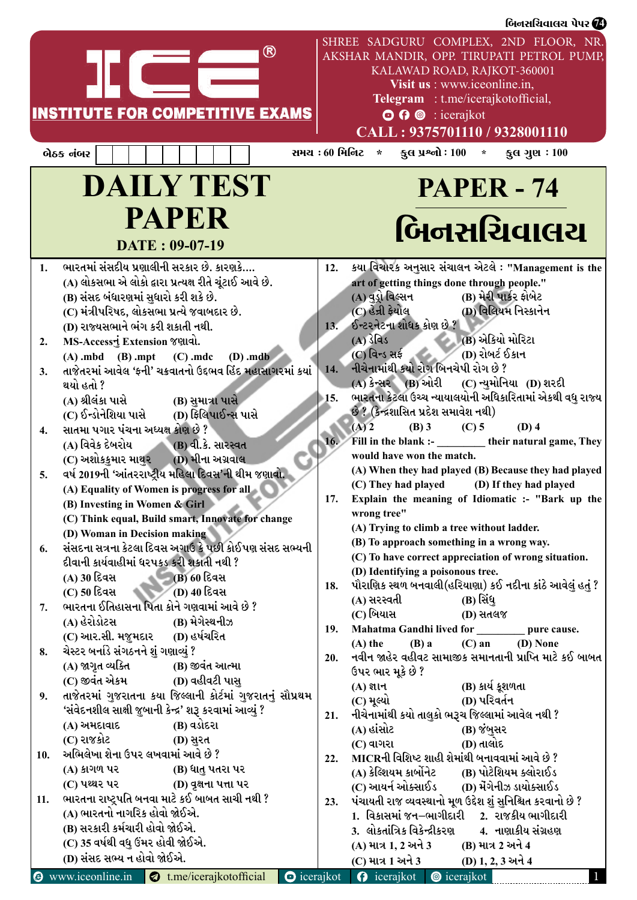|           |                                                                                                                                                                                                                                                                                                                                                                                                                                                                                                                                                                                                                                                                                                                                                                                                                                                                                                                                                                                                                                                                                                                                                                                                                         |                |                                                                                                                                                                                                                                                                                                                                                                                                                                                                                                                                                                                                                                 | બિનસચિવાલચ પેપર <b>(7</b> 4                                                                                                                                                                                                                                                                                                                                                                                                                                                                                                                                                                                                                                                             |
|-----------|-------------------------------------------------------------------------------------------------------------------------------------------------------------------------------------------------------------------------------------------------------------------------------------------------------------------------------------------------------------------------------------------------------------------------------------------------------------------------------------------------------------------------------------------------------------------------------------------------------------------------------------------------------------------------------------------------------------------------------------------------------------------------------------------------------------------------------------------------------------------------------------------------------------------------------------------------------------------------------------------------------------------------------------------------------------------------------------------------------------------------------------------------------------------------------------------------------------------------|----------------|---------------------------------------------------------------------------------------------------------------------------------------------------------------------------------------------------------------------------------------------------------------------------------------------------------------------------------------------------------------------------------------------------------------------------------------------------------------------------------------------------------------------------------------------------------------------------------------------------------------------------------|-----------------------------------------------------------------------------------------------------------------------------------------------------------------------------------------------------------------------------------------------------------------------------------------------------------------------------------------------------------------------------------------------------------------------------------------------------------------------------------------------------------------------------------------------------------------------------------------------------------------------------------------------------------------------------------------|
|           | <b>INSTITUTE FOR COMPETITIVE EXAMS</b>                                                                                                                                                                                                                                                                                                                                                                                                                                                                                                                                                                                                                                                                                                                                                                                                                                                                                                                                                                                                                                                                                                                                                                                  |                | $\odot$ $\odot$ $\odot$ : icerajkot                                                                                                                                                                                                                                                                                                                                                                                                                                                                                                                                                                                             | SHREE SADGURU COMPLEX, 2ND FLOOR, NR.<br>AKSHAR MANDIR, OPP. TIRUPATI PETROL PUMP,<br>KALAWAD ROAD, RAJKOT-360001<br>Visit us : www.iceonline.in,<br>Telegram : t.me/icerajkotofficial,<br>CALL: 9375701110 / 9328001110                                                                                                                                                                                                                                                                                                                                                                                                                                                                |
| બેઠક નંબર |                                                                                                                                                                                                                                                                                                                                                                                                                                                                                                                                                                                                                                                                                                                                                                                                                                                                                                                                                                                                                                                                                                                                                                                                                         | સમચ : 60 મિનિટ | કુલ પ્રશ્નો : $100 *$<br>$\star$                                                                                                                                                                                                                                                                                                                                                                                                                                                                                                                                                                                                | કુલ ગુણ $:100$                                                                                                                                                                                                                                                                                                                                                                                                                                                                                                                                                                                                                                                                          |
|           | <b>DAILY TEST</b>                                                                                                                                                                                                                                                                                                                                                                                                                                                                                                                                                                                                                                                                                                                                                                                                                                                                                                                                                                                                                                                                                                                                                                                                       |                |                                                                                                                                                                                                                                                                                                                                                                                                                                                                                                                                                                                                                                 | <b>PAPER - 74</b>                                                                                                                                                                                                                                                                                                                                                                                                                                                                                                                                                                                                                                                                       |
|           | <b>PAPER</b>                                                                                                                                                                                                                                                                                                                                                                                                                                                                                                                                                                                                                                                                                                                                                                                                                                                                                                                                                                                                                                                                                                                                                                                                            |                |                                                                                                                                                                                                                                                                                                                                                                                                                                                                                                                                                                                                                                 | બિનસચિવાલચ                                                                                                                                                                                                                                                                                                                                                                                                                                                                                                                                                                                                                                                                              |
|           | DATE: 09-07-19                                                                                                                                                                                                                                                                                                                                                                                                                                                                                                                                                                                                                                                                                                                                                                                                                                                                                                                                                                                                                                                                                                                                                                                                          |                |                                                                                                                                                                                                                                                                                                                                                                                                                                                                                                                                                                                                                                 |                                                                                                                                                                                                                                                                                                                                                                                                                                                                                                                                                                                                                                                                                         |
| 6.<br>8.  | ભારતમાં સંસદીય પ્રણાલીની સરકાર છે. કારણકે<br>(A) લોકસભા એ લોકો દ્વારા પ્રત્યક્ષ રીતે ચૂંટાઈ આવે છે.<br>(B) સંસદ બંધારણમાં સુધારો કરી શકે છે.<br>(C) મંત્રીપરિષદ, લોકસભા પ્રત્યે જવાબદાર છે.<br>(D) રાજ્યસભાને ભંગ કરી શકાતી નથી.<br>MS-Accessનું Extension જણાવો.<br>$(A)$ .mbd $(B)$ .mpt $(C)$ .mdc $(D)$ .mdb<br>તાજેતરમાં આવેલ 'ફની' ચક્રવાતનો ઉદ્દભવ હિંદ મહાસાગરમાં કયાં<br>થયો હતો ?<br>(A) શ્રીલંકા પાસે<br>(B) સુમાત્રા પાસે<br>(D) ફિલિપાઈન્સ પાસે<br>(C) ઈન્ડોનેશિયા પાસે<br>સાતમા પગાર પંચના અધ્યક્ષ કોણ છે ?<br>(A) વિવેક દેબરોય<br>(B) વી.કે. સારસ્વત<br>(C) અશોકકુમાર માથુર       (D) મીના અગ્રવાલ<br>વર્ષ 2019ની 'આંતરરાષ્ટ્રીય મહિલા દિવસ'ની થીમ જણાવો.<br>(A) Equality of Women is progress for all<br>(B) Investing in Women & Girl<br>(C) Think equal, Build smart, Innovate for change<br>(D) Woman in Decision making<br>સંસદના સત્રના કેટલા દિવસ અગાઉ કે પછી કોઈપણ સંસદ સભ્યની<br>દીવાની કાર્યવાહીમાં ધરપકડ કરી શકાતી નથી ?<br>(A) 30 દિવસ<br>- (B) 60 દિવસ<br>(C) 50 દિવસ<br>(D) 40 દિવસ<br>ભારતના ઈતિહાસના પિતા કોને ગણવામાં આવે છે ?<br>(A) હેરોડોટસ<br>(B) મેગેસ્થનીઝ<br>(C) આર.સી. મજૂમદાર<br>(D) હર્ષચરિત<br>ચેસ્ટર બર્નાડે સંગઠનને શું ગણાવ્યું ?<br>(A) જાગૃત વ્યક્તિ<br>(B) જીવંત આત્મા |                | art of getting things done through people."<br>(A) વુડ્રો વિલ્સન<br>(C) હેન્રી <del>કે</del> યોલ<br>13. ઈન્ટરનેટના શોધક કોણ છે ?<br>$(A)$ $\delta$ $\alpha$<br>$(C)$ વિન્ડ સર્ફ<br>14. નીચેનામાંથી કયો રોગ બિનચેપી રોગ છે ?<br>$(A)$ કેન્સર $(B)$ ઓરી<br>છે ? (કેન્દ્રશાસિત પ્રદેશ સમાવેશ નથી)<br>$(B)$ 3<br>$(A)$ 2<br>Fill in the blank :-<br>would have won the match.<br>(C) They had played<br>wrong tree"<br>(A) Trying to climb a tree without ladder.<br>(B) To approach something in a wrong way.<br>(D) Identifying a poisonous tree.<br>(A) સરસ્વતી<br>(C) બિયાસ<br>Mahatma Gandhi lived for<br>$(B)$ a<br>$(A)$ the | 12. કયા વિચારક અનુસાર સંચાલન એટલે: "Management is the<br>(B) મેરી પાર્કર ફોબેટ<br>(D) વિલિયમ નિસ્કાનેન<br>(B) એકિયો મોરિટા<br>(D) રોબર્ટ ઈકાન<br>(C) ન્યુમોનિયા (D) શરદી<br>ભારતના કેટલા ઉચ્ચ ન્યાયાલયોની અધિકારિતામાં એકથી વધુ રાજ્ય  <br>$(C)$ 5<br>$(D)$ 4<br>their natural game, They<br>(A) When they had played (B) Because they had played<br>(D) If they had played<br>17. Explain the meaning of Idiomatic :- "Bark up the<br>(C) To have correct appreciation of wrong situation.<br>પૌરાણિક સ્થળ બનવાલી(હરિયાણા) કઈ નદીના કાંઠે આવેલું હતું ?<br>(B) સિંધુ<br>(D) સતલજ<br>pure cause.<br>$(C)$ an<br>(D) None<br>20. નવીન જાહેર વહીવટ સામાજીક સમાનતાની પ્રાપ્તિ માટે કઈ બાબત |
|           | (C) જીવંત એકમ<br>(D) વહીવટી પાસ                                                                                                                                                                                                                                                                                                                                                                                                                                                                                                                                                                                                                                                                                                                                                                                                                                                                                                                                                                                                                                                                                                                                                                                         |                | ઉપર ભાર મૂકે છે ?<br>$(A)$ જ્ઞાન                                                                                                                                                                                                                                                                                                                                                                                                                                                                                                                                                                                                | (B) કાર્ય કૂશળતા                                                                                                                                                                                                                                                                                                                                                                                                                                                                                                                                                                                                                                                                        |
| 9.        | તાજેતરમાં ગુજરાતના કયા જિલ્લાની કોર્ટમાં ગુજરાતનું સૌપ્રથમ<br>'સંવેદનશીલ સાક્ષી જુબાની કેન્દ્ર' શરૂ કરવામાં આવ્યું ?<br>(B) વડોદરા<br>(A) અમદાવાદ                                                                                                                                                                                                                                                                                                                                                                                                                                                                                                                                                                                                                                                                                                                                                                                                                                                                                                                                                                                                                                                                       | 21.            | $(C)$ મૂલ્યો<br>નીચેનામાંથી કયો તાલુકો ભરૂચ જિલ્લામાં આવેલ નથી ?<br>(A) હાંસોટ                                                                                                                                                                                                                                                                                                                                                                                                                                                                                                                                                  | (D) પરિવર્તન<br>(B) જંબુસર                                                                                                                                                                                                                                                                                                                                                                                                                                                                                                                                                                                                                                                              |
| 10.       | (C) રાજકોટ<br>(D) સુરત<br>અભિલેખા શેના ઉપર લખવામાં આવે છે ?                                                                                                                                                                                                                                                                                                                                                                                                                                                                                                                                                                                                                                                                                                                                                                                                                                                                                                                                                                                                                                                                                                                                                             |                | $(C)$ વાગરા<br>22. MICRની વિશિષ્ટ શાહી શેમાંથી બનાવવામાં આવે છે ?                                                                                                                                                                                                                                                                                                                                                                                                                                                                                                                                                               | (D) તાલોદ                                                                                                                                                                                                                                                                                                                                                                                                                                                                                                                                                                                                                                                                               |
|           | (B) ધાતુ પતરા પર<br>(A) કાગળ પર                                                                                                                                                                                                                                                                                                                                                                                                                                                                                                                                                                                                                                                                                                                                                                                                                                                                                                                                                                                                                                                                                                                                                                                         |                | (A) કેલ્શિયમ કાર્બોનેટ                                                                                                                                                                                                                                                                                                                                                                                                                                                                                                                                                                                                          | (B) પોટેશિયમ ક્લોરાઈડ                                                                                                                                                                                                                                                                                                                                                                                                                                                                                                                                                                                                                                                                   |
| 11.       | (C) પથ્થર પર<br>(D) વૃક્ષના પત્તા પર<br>ભારતના રાષ્ટ્રપતિ બનવા માટે કઈ બાબત સાચી નથી ?                                                                                                                                                                                                                                                                                                                                                                                                                                                                                                                                                                                                                                                                                                                                                                                                                                                                                                                                                                                                                                                                                                                                  |                | (C) આયર્ન ઓક્સાઈડ                                                                                                                                                                                                                                                                                                                                                                                                                                                                                                                                                                                                               | (D) મેંગેનીઝ ડાયોક્સાઈડ                                                                                                                                                                                                                                                                                                                                                                                                                                                                                                                                                                                                                                                                 |
|           | (A) ભારતનો નાગરિક હોવો જોઈએ.                                                                                                                                                                                                                                                                                                                                                                                                                                                                                                                                                                                                                                                                                                                                                                                                                                                                                                                                                                                                                                                                                                                                                                                            | 23.            |                                                                                                                                                                                                                                                                                                                                                                                                                                                                                                                                                                                                                                 | પંચાયતી રાજ વ્યવસ્થાનો મૂળ ઉદ્દેશ શું સુનિશ્ચિત કરવાનો છે ?<br>1.  વિકાસમાં જન–ભાગીદારી     2.  રાજકીય ભાગીદારી                                                                                                                                                                                                                                                                                                                                                                                                                                                                                                                                                                         |
|           | (B) સરકારી કર્મચારી હોવો જોઈએ.                                                                                                                                                                                                                                                                                                                                                                                                                                                                                                                                                                                                                                                                                                                                                                                                                                                                                                                                                                                                                                                                                                                                                                                          |                | 3. લોકતાંત્રિક વિકેન્દ્રીકરણ                                                                                                                                                                                                                                                                                                                                                                                                                                                                                                                                                                                                    | 4. નાણાકીય સંગ્રહણ                                                                                                                                                                                                                                                                                                                                                                                                                                                                                                                                                                                                                                                                      |
|           | (C) 35 વર્ષથી વધુ ઉંમર હોવી જોઈએ.<br>(D) સંસદ સભ્ય ન હોવો જોઈએ.                                                                                                                                                                                                                                                                                                                                                                                                                                                                                                                                                                                                                                                                                                                                                                                                                                                                                                                                                                                                                                                                                                                                                         |                | (A) માત્ર 1, 2 અને 3                                                                                                                                                                                                                                                                                                                                                                                                                                                                                                                                                                                                            | (B) માત્ર 2 અને 4                                                                                                                                                                                                                                                                                                                                                                                                                                                                                                                                                                                                                                                                       |
|           | <b>E</b> www.iceonline.in <b>C</b> t.me/icerajkotofficial                                                                                                                                                                                                                                                                                                                                                                                                                                                                                                                                                                                                                                                                                                                                                                                                                                                                                                                                                                                                                                                                                                                                                               |                | (C) માત્ર 1 અને 3<br><b>O</b> icerajkot <b>O</b> icerajkot <b>O</b> icerajkot                                                                                                                                                                                                                                                                                                                                                                                                                                                                                                                                                   | (D) 1, 2, 3 અને 4                                                                                                                                                                                                                                                                                                                                                                                                                                                                                                                                                                                                                                                                       |
|           |                                                                                                                                                                                                                                                                                                                                                                                                                                                                                                                                                                                                                                                                                                                                                                                                                                                                                                                                                                                                                                                                                                                                                                                                                         |                |                                                                                                                                                                                                                                                                                                                                                                                                                                                                                                                                                                                                                                 |                                                                                                                                                                                                                                                                                                                                                                                                                                                                                                                                                                                                                                                                                         |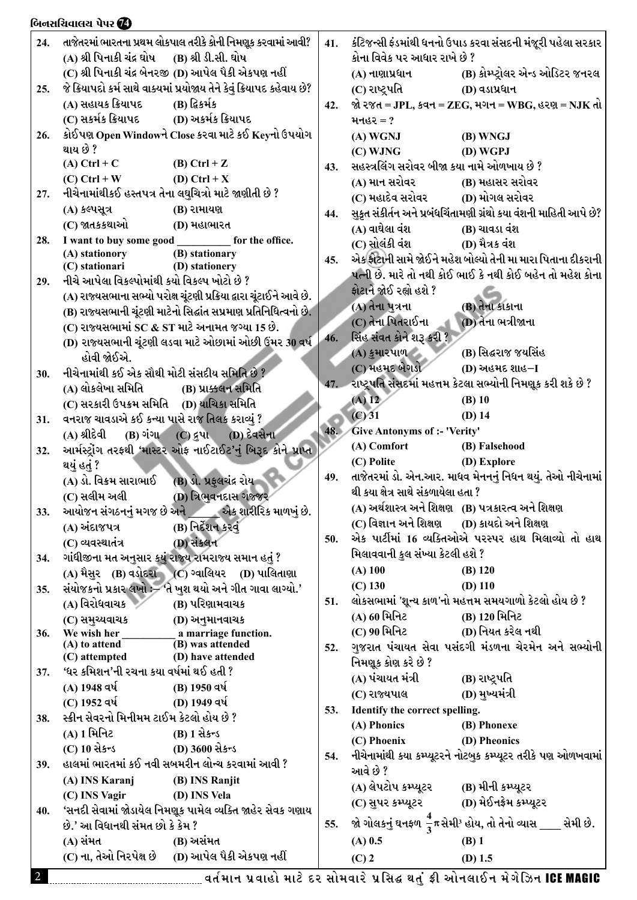|                | બિનસચિવાલય પેપર <b>@</b>                                                                               |     |                                                   |                                                                                      |
|----------------|--------------------------------------------------------------------------------------------------------|-----|---------------------------------------------------|--------------------------------------------------------------------------------------|
| 24.            | તાજેતરમાં ભારતના પ્રથમ લોકપાલ તરીકે કોની નિમણૂક કરવામાં આવી?                                           | 41. |                                                   | કંટિજન્સી ફંડમાંથી ધનનો ઉપાડ કરવા સંસદની મંજૂરી પહેલા સરકાર                          |
|                | (A) શ્રી પિનાકી ચંદ્ર ઘોષ (B) શ્રી ડી.સી. ઘોષ                                                          |     | કોના વિવેક પર આધાર રાખે છે ?                      |                                                                                      |
|                | (C) શ્રી પિનાકી ચંદ્ર બેનરજી (D) આપેલ પૈકી એકપણ નહીં                                                   |     | (A) નાણાપ્રધાન                                    | (B) કોમ્પ્ટ્રોલર એન્ડ ઓડિટર જનરલ                                                     |
| 25.            | જે ક્રિયાપદો કર્મ સાથે વાક્યમાં પ્રયોજાય તેને કેવું ક્રિયાપદ કહેવાય છે?                                |     | (C) રાષ્ટ્રપતિ                                    | (D) વડાપ્રધાન                                                                        |
|                | (A) સહાયક ક્રિયાપદ<br>(B) દ્વિકર્મક                                                                    | 42. |                                                   | જો ૨જત = JPL, ક્વન = ZEG, મગન = WBG, હરણ = NJK તો                                    |
|                |                                                                                                        |     | મનહર $= ?$                                        |                                                                                      |
| 26.            | કોઈપણ Open Windowને Close કરવા માટે કઈ Keyનો ઉપયોગ                                                     |     | (A) WGNJ                                          | (B) WNGJ                                                                             |
|                | થાય છે ?                                                                                               |     | (C) WJNG                                          | (D) WGPJ                                                                             |
|                | (A) Ctrl + C (B) Ctrl + Z                                                                              | 43. | સહસ્ત્રલિંગ સરોવર બીજા કયા નામે ઓળખાય છે ?        |                                                                                      |
|                | (C) Ctrl + W (D) Ctrl + X                                                                              |     | (A) માન સરોવર                                     | (B) મહાસર સરોવર                                                                      |
| 27.            | નીચેનામાંથીકઈ હસ્તપત્ર તેના લઘુચિત્રો માટે જાણીતી છે ?                                                 |     | (C) મહાદેવ સરોવર             (D) મોગલ સરોવર       |                                                                                      |
|                | (A) કલ્પસૂત્ર<br>(B) રામાયણ                                                                            | 44. |                                                   | સુકૃત સંકીર્તન અને પ્રબંધચિંતામણી ગ્રંથો કયા વંશની માહિતી આપે છે?                    |
|                | (C) જાતકકથાઓ<br>(D) મહાભારત                                                                            |     | (A) વાઘેલા વંશ                                    | (B) ચાવડા વંશ                                                                        |
| 28.            | I want to buy some good ____________ for the office.                                                   |     | (C) સોલંકી વંશ                                    | (D) મૈત્રક વંશ                                                                       |
|                | (A) stationory<br>(B) stationary<br>(D) stationery<br>(C) stationari                                   | 45. |                                                   | એક ફોટાની સામે જોઈને મહેશ બોલ્યો તેની મા મારા પિતાના દીકરાની                         |
| 29.            | નીચે આપેલા વિકલ્પોમાંથી કયો વિકલ્પ ખોટો છે ?                                                           |     |                                                   | પત્ની છે. મારે તો નથી કોઈ ભાઈ કે નથી કોઈ બહેન તો મહેશ કોના                           |
|                | (A) રાજ્યસભાના સભ્યો પરોક્ષ ચૂંટણી પ્રક્રિયા દ્વારા ચૂંટાઈને આવે છે.                                   |     | ફોટાને જોઈ રહ્યો હશે ?                            |                                                                                      |
|                | (B) રાજ્યસભાની ચૂંટણી માટેનો સિદ્ધાંત સપ્રમાણ પ્રતિનિધિત્વનો છે.                                       |     | (A) તેના પુત્રના                                  | (B) તેના કાકાના                                                                      |
|                | (C) રાજ્યસભામાં SC & ST માટે અનામત જગ્યા 15 છે.                                                        |     | (C) તેના પિતરાઈના                                 | (D) તેના ભત્રીજાના                                                                   |
|                | (D) રાજ્યસભાની ચૂંટણી લડવા માટે ઓછામાં ઓછી ઉંમર 30 વર્ષ                                                | 46. | સિંહ સંવત કોને શરૂ કરી ?                          |                                                                                      |
|                | હોવી જોઈએ.                                                                                             |     | (A) કુમારપાળ                                      | (B) સિદ્ધરાજ જયસિંહ                                                                  |
| 30.            | નીચેનામાંથી કઈ એક સૌથી મોટી સંસદીય સમિતિ છે ?                                                          |     | (C) મહમદ બેગડો                                    | (D) અહમદ શાહ–I                                                                       |
|                | (A) લોકલેખા સમિતિ (B) પ્રાક્કલન સમિતિ                                                                  |     |                                                   | 47. રાષ્ટ્રપતિ સંસદમાં મહત્તમ કેટલા સભ્યોની નિમણૂક કરી શકે છે ?                      |
|                | (C) સરકારી ઉપક્રમ સમિતિ (D) યાચિકા સમિતિ                                                               |     | $(A)$ 12                                          | $(B)$ 10                                                                             |
| 31.            | વનરાજ ચાવડાએ કઈ કન્યા પાસે રાજ તિલક કરાવ્યું ?                                                         |     | $(C)$ 31                                          | $(D)$ 14                                                                             |
|                | (A) શ્રીદેવી (B) ગંગા (C) દ્રુપા (D) દેવસેના                                                           | 48. | Give Antonyms of :- 'Verity'                      |                                                                                      |
| 32.            | આર્મસ્ટ્રોંગ તરફથી 'માસ્ટર ઓફ નાઈટાઈટ'નું બિરૂદ કોને પ્રાપ્ત                                           |     | (A) Comfort                                       | (B) Falsehood                                                                        |
|                | થયું હતું ?                                                                                            |     | (C) Polite                                        | (D) Explore                                                                          |
|                | (B) ડો. પ્રફુલચંદ્ર રોય <b>્</b><br>(A) ડો. વિક્રમ સારાભાઈ                                             | 49. |                                                   | તાજેતરમાં ડો. એન.આર. માધવ મેનનનું નિધન થયું. તેઓ નીચેનામાં                           |
|                | (C) સલીમ અલી<br>(D) ત્રિભુવનદાસ ગજ્જર                                                                  |     | થી કયા ક્ષેત્ર સાથે સંકળાયેલા હતા ?               |                                                                                      |
| 33.            | આયોજન સંગઠનનું મગજ છે અને અને એક શારીરિક માળખું છે.                                                    |     |                                                   | (A) અર્થશાસ્ત્ર અને શિક્ષણ (B) પત્રકારત્વ અને શિક્ષણ                                 |
|                | (B) નિર્દેશન કરવું<br>(A) અંદાજપત્ર                                                                    |     | (C) વિજ્ઞાન અને શિક્ષણ       (D) કાયદો અને શિક્ષણ |                                                                                      |
|                | (D) સંકલન<br>(C) વ્યવસ્થાતંત્ર                                                                         | 50. |                                                   | એક પાર્ટીમાં 16 વ્યક્તિઓએ પરસ્પર હાથ મિલાવ્યો તો હાથ                                 |
| 34.            | ગાંધીજીના મત અનુસાર કયું રાજ્ય રામરાજ્ય સમાન હતું ?                                                    |     | મિલાવવાની કુલ સંખ્યા કેટલી હશે ?                  |                                                                                      |
|                | (A) મૈસુર (B) વડોદરા (C) ગ્વાલિયર (D) પાલિતાણા                                                         |     | $(A)$ 100                                         | $(B)$ 120                                                                            |
| 35.            | સંયોજકનો પ્રકાર લખો :– 'તે ખુશ થયો અને ગીત ગાવા લાગ્યો.'                                               |     | $(C)$ 130                                         | $(D)$ 110                                                                            |
|                | (A) વિરોધવાચક<br>(B) પરિણામવાચક                                                                        | 51. |                                                   | લોકસભામાં 'શૂન્ય કાળ'નો મહત્તમ સમયગાળો કેટલો હોય છે ?                                |
|                | (C) સમુચ્યવાચક<br>(D) અનુમાનવાચક                                                                       |     | (A) 60 મિનિટ                                      | (B) 120 મિનિટ                                                                        |
| 36.            | We wish her<br>$\frac{a}{B}$ marriage function.                                                        |     | (C) 90 મિનિટ                                      | (D) નિયત કરેલ નથી                                                                    |
|                | $(A)$ to attend<br>(D) have attended<br>(C) attempted                                                  | 52. |                                                   | ગુજરાત પંચાયત સેવા પસંદગી મંડળના ચેરમેન અને સભ્યોની                                  |
| 37.            | 'ધર કમિશન'ની રચના કયા વર્ષમાં થઈ હતી ?                                                                 |     | નિમણૂક કોણ કરે છે ?                               |                                                                                      |
|                | (A) 1948 વર્ષ<br>(B) 1950 વર્ષ                                                                         |     | (A) પંચાયત મંત્રી                                 | (B) રાષ્ટ્રપતિ                                                                       |
|                | (C) 1952 વર્ષ<br>(D) 1949 વર્ષ                                                                         |     | (C) રાજ્યપાલ                                      | (D) મુખ્યમંત્રી                                                                      |
| 38.            | સ્ક્રીન સેવરનો મિનીમમ ટાઈમ કેટલો હોય છે ?                                                              | 53. | Identify the correct spelling.                    |                                                                                      |
|                | (A) 1 મિનિટ<br>$(B)$ 1 से $s$ न्ड                                                                      |     | (A) Phonics                                       | (B) Phonexe                                                                          |
|                | (C) 10 સેકન્ડ<br>(D) 3600 સેકન્ડ                                                                       |     | (C) Phoenix                                       | (D) Pheonics                                                                         |
| 39.            | હાલમાં ભારતમાં કઈ નવી સબમરીન લોન્ચ કરવામાં આવી ?                                                       | 54. |                                                   | નીચેનામાંથી કયા કમ્પ્યૂટરને નોટબુક કમ્પ્યૂટર તરીકે પણ ઓળખવામાં                       |
|                | (A) INS Karanj<br>(B) INS Ranjit                                                                       |     | આવે છે ?                                          |                                                                                      |
|                | (C) INS Vagir<br>(D) INS Vela                                                                          |     | (A) લેપટોપ કમ્પ્યૂટર                              | (B) મીની કમ્પ્યૂટર                                                                   |
| 40.            | 'સનદી સેવામાં જોડાયેલ નિમણૂક પામેલ વ્યક્તિ જાહેર સેવક ગણાય                                             |     | (C) સુપર કમ્પ્યૂટર                                | (D) મેઈનફ્રેમ કમ્પ્યૂટર                                                              |
|                | છે.' આ વિધાનથી સંમત છો કે કેમ ?                                                                        | 55. |                                                   | જો ગોલકનું ઘનફળ $\frac{4}{3}\pi$ સેમી <sup>રૂ</sup> હોય, તો તેનો વ્યાસ ____ સેમી છે. |
|                | (A) સંમત<br>(B) અસંમત                                                                                  |     | $(A)$ 0.5                                         | $(B)$ 1                                                                              |
|                | (C) ના, તેઓ નિરપેક્ષ છે (D) આપેલ પૈકી એકપણ નહીં                                                        |     | $(C)$ 2                                           | $(D)$ 1.5                                                                            |
| $\overline{2}$ |                                                                                                        |     |                                                   |                                                                                      |
|                | <sub>---------------</sub> વર્તમાન પ્રવાહો માટે દર સોમવારે પ્રસિદ્ધ થતું ફ્રી ઓનલાઈન મેગેઝિન ICE MAGIC |     |                                                   |                                                                                      |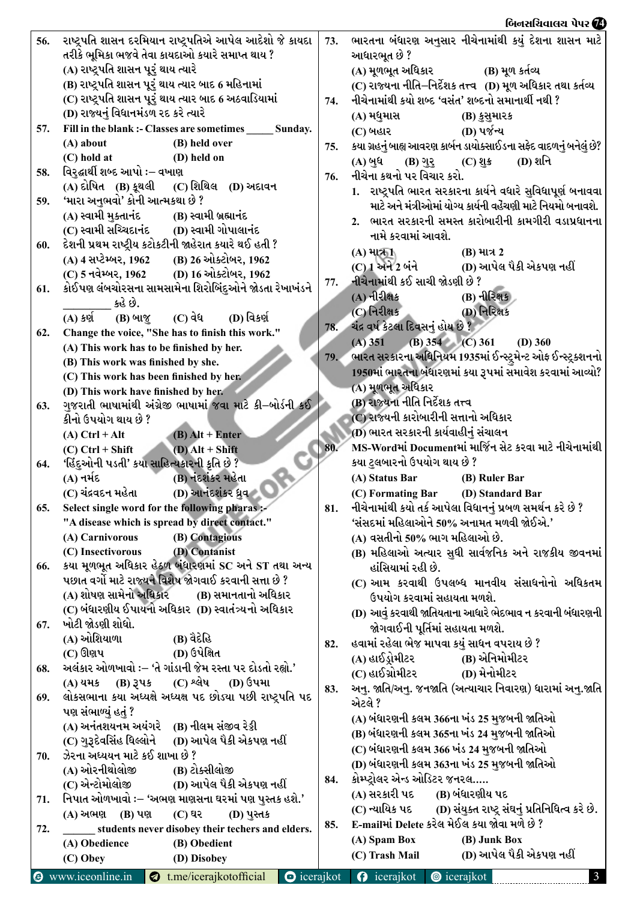## $\frac{1}{\sqrt{2\pi}}$ િન્ન માર્ગ 5 કરોડ 7 કરોડ 7 કરોડ 7 કરોડ 7 કરોડ 7 કરોડ 7 કરોડ 7 કરોડ 7 કરોડ 7 કરોડ 7 કરોડ 7 કરોડ 7 કરોડ 7 કરોડ 7  $\frac{1}{\sqrt{2\pi}}$

| 56. |                                            | રાષ્ટ્રપતિ શાસન દરમિયાન રાષ્ટ્રપતિએ આપેલ આદેશો જે કાયદા   |                     | 73. | ભારતના બંધારણ અનુસાર નીચેનામાંથી કયું દેશના શાસન માટે              |
|-----|--------------------------------------------|-----------------------------------------------------------|---------------------|-----|--------------------------------------------------------------------|
|     |                                            | તરીકે ભૂમિકા ભજવે તેવા કાયદાઓ કયારે સમાપ્ત થાય ?          |                     |     | આધારભૂત છે ?                                                       |
|     | (A) રાષ્ટ્રપતિ શાસન પૂરું થાય ત્યારે       |                                                           |                     |     | (A) મૂળભૂત અધિકાર<br>(B) મૂળ કર્તવ્ય                               |
|     |                                            | (B) રાષ્ટ્રપતિ શાસન પૂરું થાય ત્યાર બાદ 6 મહિનામાં        |                     |     | (C) રાજ્યના નીતિ–નિર્દેશક તત્ત્વ (D) મૂળ અધિકાર તથા કર્તવ્ય        |
|     |                                            | (C) રાષ્ટ્રપતિ શાસન પૂરું થાય ત્યાર બાદ 6 અઠવાડિયામાં     |                     | 74. | નીચેનામાંથી કયો શબ્દ 'વસંત' શબ્દનો સમાનાર્થી નથી ?                 |
|     | (D) રાજ્યનું વિધાનમંડળ રદ કરે ત્યારે       |                                                           |                     |     | (A) મધુમાસ<br>(B) કુસુમારક                                         |
| 57. |                                            | Fill in the blank :- Classes are sometimes ______ Sunday. |                     |     | (D) પર્જન્ય                                                        |
|     | $(A)$ about                                | (B) held over                                             |                     |     | (C) બહાર                                                           |
|     | (C) hold at                                | (D) held on                                               |                     | 75. | કયા ગ્રહનું બાહ્ય આવરણ કાર્બન ડાયોક્સાઈડના સફેદ વાદળનું બનેલું છે? |
| 58. | વિરુદ્ઘાર્થી શબ્દ આપો :– વખાણ              |                                                           |                     |     | (D) શનિ<br>(A) બુધ<br>(B) ગુરૂ (C) શુક્ર                           |
|     |                                            | (C) શિથિલ (D) અદાવન                                       |                     | 76. | નીચેના કથનો પર વિચાર કરો.                                          |
|     | (A) દોષિત (B) કૂથલી                        |                                                           |                     |     | 1. રાષ્ટ્રપતિ ભારત સરકારના કાર્યને વધારે સુવિધાપૂર્ણ બનાવવા        |
| 59. | 'મારા અનુભવો' કોની આત્મકથા છે ?            |                                                           |                     |     | માટે અને મંત્રીઓમાં યોગ્ય કાર્યની વહેંચણી માટે નિયમો બનાવશે.       |
|     | (A) સ્વામી મુક્તાનંદ                       | (B) સ્વામી બ્રહ્માનંદ                                     |                     |     | 2. ભારત સરકારની સમસ્ત કારોબારીની કામગીરી વડાપ્રધાનના               |
|     |                                            | (C) સ્વામી સચ્ચિદાનંદ        (D) સ્વામી ગોપાલાનંદ         |                     |     | નામે કરવામાં આવશે.                                                 |
| 60. |                                            | દેશની પ્રથમ રાષ્ટ્રીય કટોકટીની જાહેરાત કયારે થઈ હતી ?     |                     |     | $(A)$ માત્ર $\Pi$<br>(B) માત્ર 2                                   |
|     |                                            | (A) 4 સપ્ટેમ્બર, 1962 (B) 26 ઓક્ટોબર, 1962                |                     |     | $(C)$ 1 અને 2 બંને (D) આપેલ પૈકી એકપણ નહીં                         |
|     |                                            | (C) 5 નવેમ્બર, 1962 (D) 16 ઓક્ટોબર, 1962                  |                     | 77. | નીચેનામાંથી કઈ સાચી જોડણી છે ?                                     |
| 61. |                                            | કોઈપણ લંબચોરસના સામસામેના શિરોબિંદુઓને જોડતા રેખાખંડને    |                     |     | $(A)$ નીરીક્ષક<br><b>(B) નીરિક્ષક</b>                              |
|     | કહે છે.                                    |                                                           |                     |     | (D) નિરિક્ષક<br>$(C)$ નિરીક્ષક                                     |
|     | $(A)$ કર્ણ<br>(B) બાજુ                     | (C) વેધ<br>$(D)$ વિકર્ણ                                   |                     |     |                                                                    |
| 62. |                                            | Change the voice, "She has to finish this work."          |                     | 78. | ચંદ્ર વર્ષ કેટલા દિવસનું હોય છે ?                                  |
|     | (A) This work has to be finished by her.   |                                                           |                     |     | (B) $354$ (C) $361$<br>$(A)$ 351<br>$(D)$ 360                      |
|     | (B) This work was finished by she.         |                                                           |                     | 79. | ભારત સરકારના અધિનિયમ 1935માં ઈન્સ્ટ્રમેન્ટ ઓફ ઈન્સ્ટ્રક્શનનો       |
|     | (C) This work has been finished by her.    |                                                           |                     |     | 1950માં ભારતના બંધારણમાં કયા રૂપમાં સમાવેશ કરવામાં આવ્યો?          |
|     | (D) This work have finished by her.        |                                                           |                     |     | (A) મૂળભૂત અધિકાર                                                  |
| 63. |                                            | ગુજરાતી ભાષામાંથી અંગ્રેજી ભાષામાં જવા માટે કી–બોર્ડની કઈ |                     |     | (B) રાજ્યના નીતિ નિર્દેશક તત્ત્વ                                   |
|     | કીનો ઉપયોગ થાય છે ?                        |                                                           |                     |     | (C) રાજ્યની કારોબારીની સત્તાનો અધિકાર                              |
|     | $(A)$ Ctrl + Alt                           | $\overline{(B)}$ Alt + Enter                              |                     |     | (D) ભારત સરકારની કાર્યવાહીનું સંચાલન                               |
|     | $(C)$ Ctrl + Shift                         | $(D)$ Alt + Shift                                         |                     | 80. | MS-Wordમાં Documentમાં માર્જિન સેટ કરવા માટે નીચેનામાંથી           |
| 64. | 'હિંદુઓની પડતી' કયા સાહિત્યકારની કૃતિ છે ? |                                                           |                     |     | કયા ટુલબારનો ઉપયોગ થાય છે ?                                        |
|     | (A) નર્મદ                                  | (B) નંદશંકર મહેતા                                         |                     |     | (A) Status Bar<br>(B) Ruler Bar                                    |
|     | (C) ચંદ્રવદન મહેતા                         | (D) આનંદશંકર ધ્રુવ                                        |                     |     | (C) Formating Bar<br>(D) Standard Bar                              |
| 65. |                                            | Select single word for the following pharas :-            |                     | 81. | નીચેનામાંથી કયો તર્ક આપેલા વિધાનનું પ્રબળ સમર્થન કરે છે ?          |
|     |                                            | "A disease which is spread by direct contact."            |                     |     | 'સંસદમાં મહિલાઓને 50% અનામત મળવી જોઈએ.'                            |
|     | (A) Carnivorous                            | (B) Contagious                                            |                     |     | (A) વસતીનો 50% ભાગ મહિલાઓ છે.                                      |
|     | (C) Insectivorous                          | (D) Contanist                                             |                     |     | (B) મહિલાઓ અત્યાર સુધી સાર્વજનિક અને રાજકીય જીવનમાં                |
| 66. |                                            | કયા મૂળભૂત અધિકાર હેઠળ બંધારણમાં SC અને ST તથા અન્ય       |                     |     |                                                                    |
|     |                                            | પછાત વર્ગો માટે રાજ્યને વિશેષ જોગવાઈ કરવાની સત્તા છે ?    |                     |     | હાંસિયામાં રહી છે.                                                 |
|     | (A) શોષણ સામેનો અધિકાર                     | (B) સમાનતાનો અધિકાર                                       |                     |     | (C) આમ કરવાથી ઉપલબ્ધ માનવીય સંસાધનોનો અધિકતમ                       |
|     |                                            |                                                           |                     |     | ઉપયોગ કરવામાં સહાયતા મળશે.                                         |
|     |                                            | (C) બંધારણીય ઈપાયનો અધિકાર  (D) સ્વાતંત્ર્યનો અધિકાર      |                     |     | (D) આવું કરવાથી જાતિયતાના આધારે ભેદભાવ ન કરવાની બંધારણની           |
| 67. | ખોટી જોડણી શોધો.                           |                                                           |                     |     | જોગવાઈની પૂર્તિમાં સહાયતા મળશે.                                    |
|     | (A) ઓશિયાળા                                | (B) વૈદેહિ                                                |                     | 82. | હવામાં રહેલા ભેજ માપવા કયું સાધન વપરાય છે ?                        |
|     | (C) ઊણપ                                    | (D) ઉપેક્ષિત                                              |                     |     | (A) હાઈડ્રોમીટર<br>(B) એનિમોમીટર                                   |
| 68. |                                            | અલંકાર ઓળખાવો :– 'તે ગાંડાની જેમ રસ્તા પર દોડતો રહ્યો.'   |                     |     | (C) હાઈગ્રોમીટર<br>(D) મેનોમીટર                                    |
|     | $(A)$ યમક $(B)$ રૂપક                       | $(C)$ શ્લેષ<br><b>(D)</b> ઉપમા                            |                     | 83. | અનુ. જાતિ/અનુ. જનજાતિ (અત્યાચાર નિવારણ) ધારામાં અનુ.જાતિ           |
| 69. |                                            | લોકસભાના કયા અધ્યક્ષે અધ્યક્ષ પદ છોડ્યા પછી રાષ્ટ્રપતિ પદ |                     |     | એટલે ?                                                             |
|     | પણ સંભાળ્યું હતું ?                        |                                                           |                     |     | (A) બંધારણની કલમ 366ના ખંડ 25 મુજબની જાતિઓ                         |
|     |                                            | (A) અનંતશયનમ અયંગરે (B) નીલમ સંજીવ રેડ્ડી                 |                     |     | (B) બંધારણની કલમ 365ના ખંડ 24 મુજબની જાતિઓ                         |
|     | (C) ગુરૂદેવસિંહ ધિલ્લોને                   | (D) આપેલ પૈકી એકપણ નહીં                                   |                     |     | (C) બંધારણની કલમ 366 ખંડ 24 મુજબની જાતિઓ                           |
| 70. | ઝેરના અધ્યયન માટે કઈ શાખા છે ?             |                                                           |                     |     |                                                                    |
|     | (A) ઓરનીથોલોજી                             | (B) ટોક્સીલોજી                                            |                     |     | (D) બંધારણની કલમ 363ના ખંડ 25 મુજબની જાતિઓ                         |
|     | (C) એન્ટોમોલોજી                            | (D) આપેલ પૈકી એકપણ નહીં                                   |                     | 84. | કોમ્પ્ટ્રોલર એન્ડ ઓડિટર જનરલ                                       |
| 71. |                                            | નિપાત ઓળખાવો :- 'અભણ માણસના ઘરમાં પણ પુસ્તક હશે.'         |                     |     | (A) સરકારી પદ<br>(B) બંધારણીય પદ                                   |
|     | (A) અભણ (B) પણ                             | (C) घर<br>(D) પુસ્તક                                      |                     |     | (C) ન્યાયિક પદ (D) સંયુક્ત રાષ્ટ્ર સંઘનું પ્રતિનિધિત્વ કરે છે.     |
| 72. |                                            | students never disobey their techers and elders.          |                     | 85. | E-mailમાં Delete કરેલ મેઈલ કયા જોવા મળે છે ?                       |
|     | (A) Obedience                              | (B) Obedient                                              |                     |     | (A) Spam Box<br>(B) Junk Box                                       |
|     | (C) Obey                                   | (D) Disobey                                               |                     |     | (D) આપેલ પૈકી એકપણ નહીં<br>(C) Trash Mail                          |
| 0   | www.iceonline.in                           | t.me/icerajkotofficial                                    | $\bullet$ icerajkot |     | <b>O</b> icerajkot<br><b>@</b> icerajkot<br>$\mathbf{3}$           |
|     |                                            |                                                           |                     |     |                                                                    |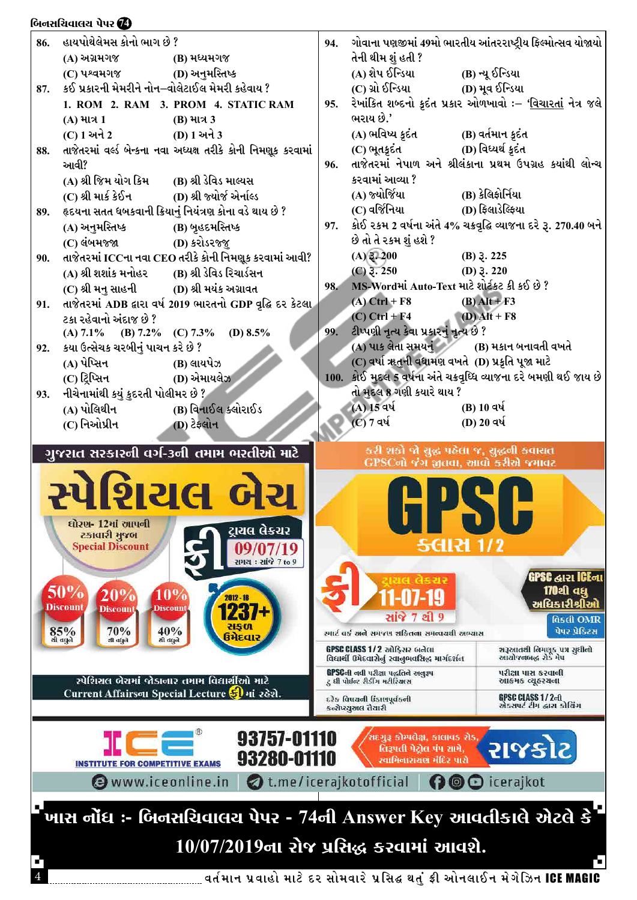## બિનસચિવાલચ પેપર **@**